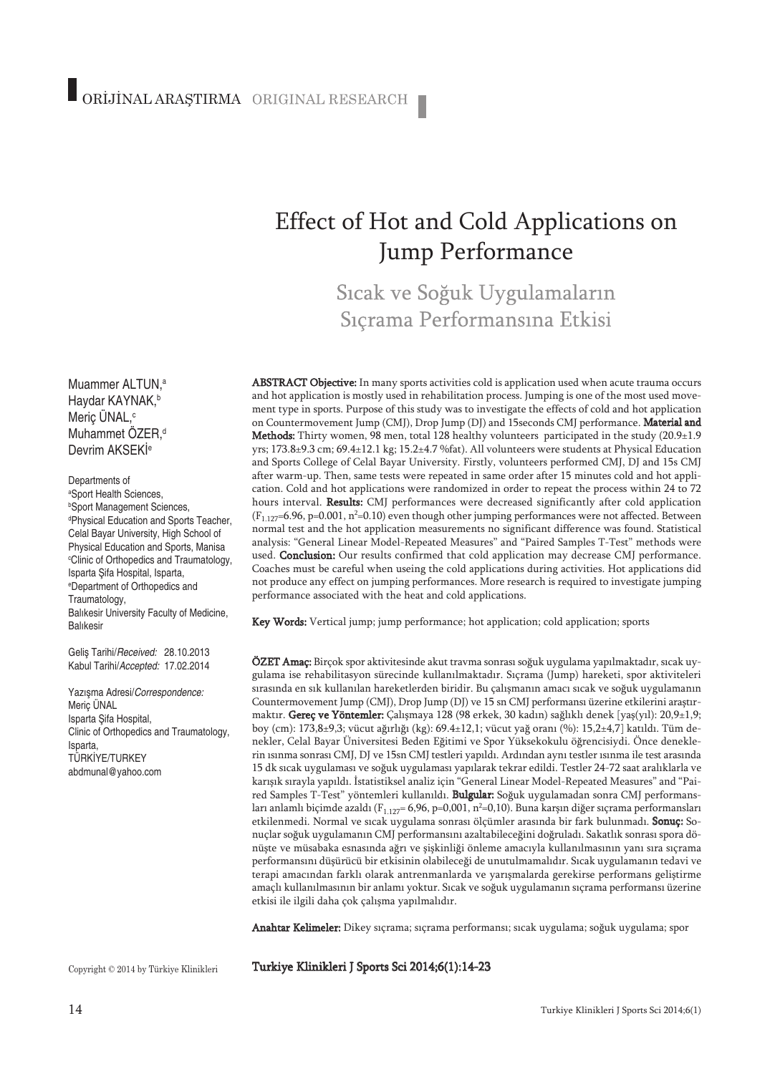# Effect of Hot and Cold Applications on Jump Performance

Sıcak ve Soğuk Uygulamaların Sıçrama Performansına Etkisi

ABSTRACT Objective: In many sports activities cold is application used when acute trauma occurs and hot application is mostly used in rehabilitation process. Jumping is one of the most used movement type in sports. Purpose of this study was to investigate the effects of cold and hot application on Countermovement Jump (CMJ), Drop Jump (DJ) and 15seconds CMJ performance. Material and Methods: Thirty women, 98 men, total 128 healthy volunteers participated in the study (20.9±1.9 yrs; 173.8±9.3 cm; 69.4±12.1 kg; 15.2±4.7 %fat). All volunteers were students at Physical Education and Sports College of Celal Bayar University. Firstly, volunteers performed CMJ, DJ and 15s CMJ after warm-up. Then, same tests were repeated in same order after 15 minutes cold and hot application. Cold and hot applications were randomized in order to repeat the process within 24 to 72 hours interval. Results: CMJ performances were decreased significantly after cold application  $(F_{1.127}$ =6.96, p=0.001, n<sup>2</sup>=0.10) even though other jumping performances were not affected. Between normal test and the hot application measurements no significant difference was found. Statistical analysis: "General Linear Model-Repeated Measures" and "Paired Samples T-Test" methods were used. Conclusion: Our results confirmed that cold application may decrease CMJ performance. Coaches must be careful when useing the cold applications during activities. Hot applications did not produce any effect on jumping performances. More research is required to investigate jumping performance associated with the heat and cold applications.

Key Words: Vertical jump; jump performance; hot application; cold application; sports

ÖZET Amaç: Birçok spor aktivitesinde akut travma sonrası soğuk uygulama yapılmaktadır, sıcak uygulama ise rehabilitasyon sürecinde kullanılmaktadır. Sıçrama (Jump) hareketi, spor aktiviteleri sırasında en sık kullanılan hareketlerden biridir. Bu çalışmanın amacı sıcak ve soğuk uygulamanın Countermovement Jump (CMJ), Drop Jump (DJ) ve 15 sn CMJ performansı üzerine etkilerini araştırmaktır. Gereç ve Yöntemler: Çalışmaya 128 (98 erkek, 30 kadın) sağlıklı denek [yaş(yıl): 20,9±1,9; boy (cm): 173,8±9,3; vücut ağırlığı (kg): 69.4±12,1; vücut yağ oranı (%): 15,2±4,7] katıldı. Tüm denekler, Celal Bayar Üniversitesi Beden Eğitimi ve Spor Yüksekokulu öğrencisiydi. Önce deneklerin ısınma sonrası CMJ, DJ ve 15sn CMJ testleri yapıldı. Ardından aynı testler ısınma ile test arasında 15 dk sıcak uygulaması ve soğuk uygulaması yapılarak tekrar edildi. Testler 24-72 saat aralıklarla ve karışık sırayla yapıldı. İstatistiksel analiz için "General Linear Model-Repeated Measures" and "Paired Samples T-Test" yöntemleri kullanıldı. Bulgular: Soğuk uygulamadan sonra CMJ performansları anlamlı biçimde azaldı (F $_{\rm 1.127}$ = 6,96, p=0,001, n²=0,10). Buna karşın diğer sıçrama performansları etkilenmedi. Normal ve sıcak uygulama sonrası ölçümler arasında bir fark bulunmadı. Sonuç: Sonuçlar soğuk uygulamanın CMJ performansını azaltabileceğini doğruladı. Sakatlık sonrası spora dönüşte ve müsabaka esnasında ağrı ve şişkinliği önleme amacıyla kullanılmasının yanı sıra sıçrama performansını düşürücü bir etkisinin olabileceği de unutulmamalıdır. Sıcak uygulamanın tedavi ve terapi amacından farklı olarak antrenmanlarda ve yarışmalarda gerekirse performans geliştirme amaçlı kullanılmasının bir anlamı yoktur. Sıcak ve soğuk uygulamanın sıçrama performansı üzerine etkisi ile ilgili daha çok çalışma yapılmalıdır.

Anahtar Kelimeler: Dikey sıçrama; sıçrama performansı; sıcak uygulama; soğuk uygulama; spor

Copyright © 2014 by Türkiye Klinikleri

Muammer ALTUN, a Haydar KAYNAK, b Meriç ÜNAL, c Muhammet ÖZER, d Devrim AKSEKl<sup>e</sup>

Departments of a Sport Health Sciences, b Sport Management Sciences, d Physical Education and Sports Teacher, Celal Bayar University, High School of Physical Education and Sports, Manisa c Clinic of Orthopedics and Traumatology, Isparta Şifa Hospital, Isparta, e Department of Orthopedics and

Traumatology,

Balıkesir

Meriç ÜNAL Isparta Şifa Hospital,

Isparta, TÜRKİYE/TURKEY abdmunal@yahoo.com

Balıkesir University Faculty of Medicine,

Clinic of Orthopedics and Traumatology,

Geliş Tarihi/*Received:* 28.10.2013 Kabul Tarihi/*Accepted:* 17.02.2014 Yazışma Adresi/*Correspondence:*

Turkiye Klinikleri J Sports Sci 2014;6(1):14-23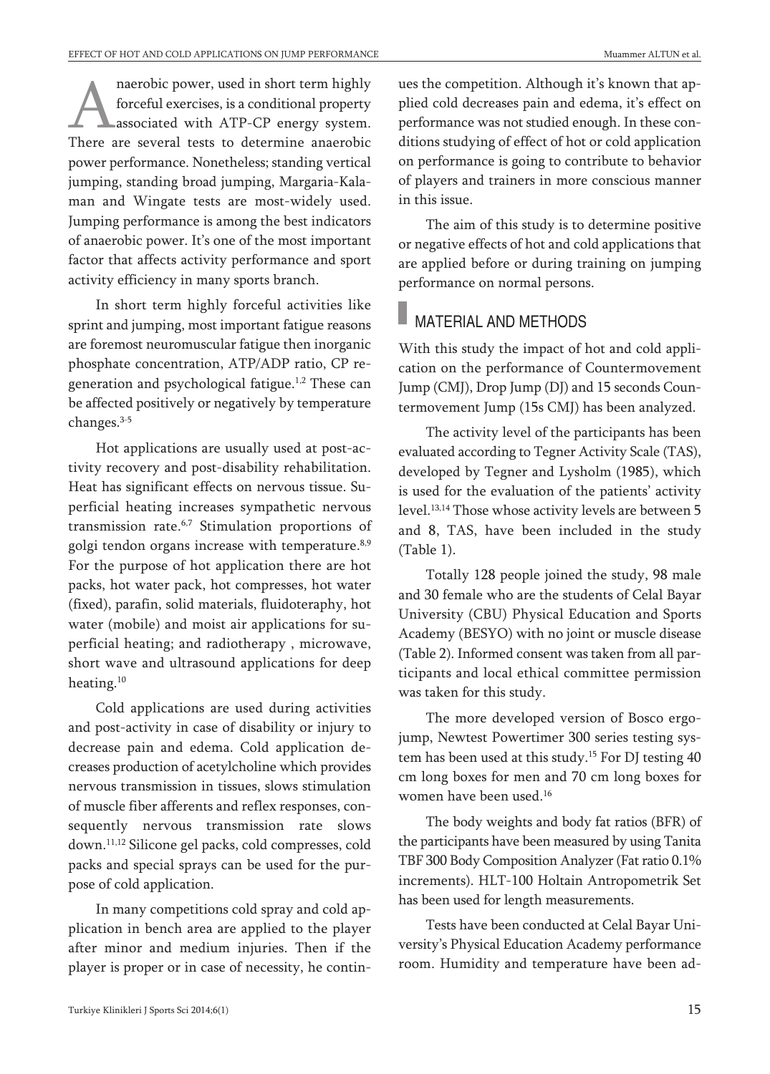maerobic power, used in short term highly<br>forceful exercises, is a conditional property<br>associated with ATP-CP energy system.<br>There are several tests to determine anaerobic forceful exercises, is a conditional property associated with ATP-CP energy system. There are several tests to determine anaerobic power performance. Nonetheless; standing vertical jumping, standing broad jumping, Margaria-Kalaman and Wingate tests are most-widely used. Jumping performance is among the best indicators of anaerobic power. It's one of the most important factor that affects activity performance and sport activity efficiency in many sports branch.

In short term highly forceful activities like sprint and jumping, most important fatigue reasons are foremost neuromuscular fatigue then inorganic phosphate concentration, ATP/ADP ratio, CP regeneration and psychological fatigue. 1,2 These can be affected positively or negatively by temperature changes. 3-5

Hot applications are usually used at post-activity recovery and post-disability rehabilitation. Heat has significant effects on nervous tissue. Superficial heating increases sympathetic nervous transmission rate. 6,7 Stimulation proportions of golgi tendon organs increase with temperature.<sup>8,9</sup> For the purpose of hot application there are hot packs, hot water pack, hot compresses, hot water (fixed), parafin, solid materials, fluidoteraphy, hot water (mobile) and moist air applications for superficial heating; and radiotherapy , microwave, short wave and ultrasound applications for deep heating. 10

Cold applications are used during activities and post-activity in case of disability or injury to decrease pain and edema. Cold application decreases production of acetylcholine which provides nervous transmission in tissues, slows stimulation of muscle fiber afferents and reflex responses, consequently nervous transmission rate slows down. 11,12 Silicone gel packs, cold compresses, cold packs and special sprays can be used for the purpose of cold application.

In many competitions cold spray and cold application in bench area are applied to the player after minor and medium injuries. Then if the player is proper or in case of necessity, he continues the competition. Although it's known that applied cold decreases pain and edema, it's effect on performance was not studied enough. In these conditions studying of effect of hot or cold application on performance is going to contribute to behavior of players and trainers in more conscious manner in this issue.

The aim of this study is to determine positive or negative effects of hot and cold applications that are applied before or during training on jumping performance on normal persons.

# MATERIAL AND METHODS

With this study the impact of hot and cold application on the performance of Countermovement Jump (CMJ), Drop Jump (DJ) and 15 seconds Countermovement Jump (15s CMJ) has been analyzed.

The activity level of the participants has been evaluated according to Tegner Activity Scale (TAS), developed by Tegner and Lysholm (1985), which is used for the evaluation of the patients' activity level. 13,14 Those whose activity levels are between 5 and 8, TAS, have been included in the study (Table 1).

Totally 128 people joined the study, 98 male and 30 female who are the students of Celal Bayar University (CBU) Physical Education and Sports Academy (BESYO) with no joint or muscle disease (Table 2). Informed consent was taken from all participants and local ethical committee permission was taken for this study.

The more developed version of Bosco ergojump, Newtest Powertimer 300 series testing system has been used at this study. <sup>15</sup> For DJ testing 40 cm long boxes for men and 70 cm long boxes for women have been used. 16

The body weights and body fat ratios (BFR) of the participants have been measured by using Tanita TBF 300 Body Composition Analyzer (Fat ratio 0.1%) increments). HLT-100 Holtain Antropometrik Set has been used for length measurements.

Tests have been conducted at Celal Bayar University's Physical Education Academy performance room. Humidity and temperature have been ad-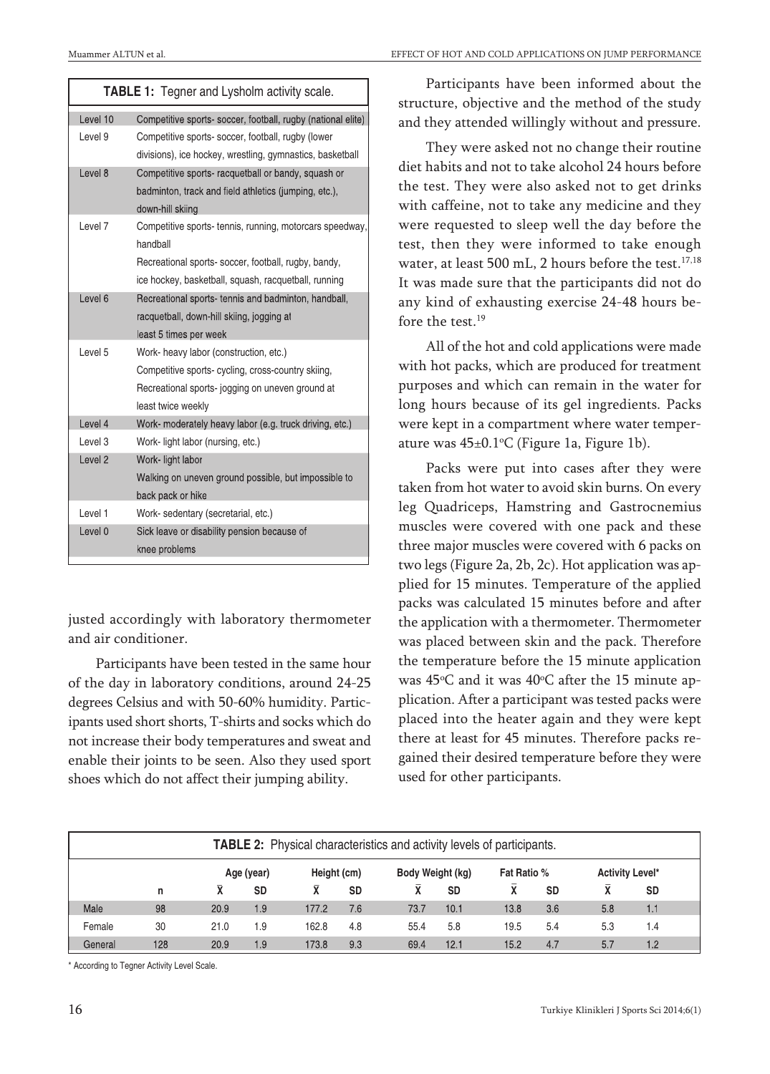| <b>TABLE 1:</b> Tegner and Lysholm activity scale. |                                                              |  |  |  |  |  |
|----------------------------------------------------|--------------------------------------------------------------|--|--|--|--|--|
| Level 10                                           | Competitive sports- soccer, football, rugby (national elite) |  |  |  |  |  |
| Level 9                                            | Competitive sports- soccer, football, rugby (lower           |  |  |  |  |  |
|                                                    | divisions), ice hockey, wrestling, gymnastics, basketball    |  |  |  |  |  |
| Level 8                                            | Competitive sports- racquetball or bandy, squash or          |  |  |  |  |  |
|                                                    | badminton, track and field athletics (jumping, etc.),        |  |  |  |  |  |
|                                                    | down-hill skiing                                             |  |  |  |  |  |
| Level 7                                            | Competitive sports-tennis, running, motorcars speedway,      |  |  |  |  |  |
|                                                    | handball                                                     |  |  |  |  |  |
|                                                    | Recreational sports-soccer, football, rugby, bandy,          |  |  |  |  |  |
|                                                    | ice hockey, basketball, squash, racquetball, running         |  |  |  |  |  |
| Level <sub>6</sub>                                 | Recreational sports- tennis and badminton, handball,         |  |  |  |  |  |
|                                                    | racquetball, down-hill skiing, jogging at                    |  |  |  |  |  |
|                                                    | least 5 times per week                                       |  |  |  |  |  |
| I evel 5                                           | Work- heavy labor (construction, etc.)                       |  |  |  |  |  |
|                                                    | Competitive sports-cycling, cross-country skiing,            |  |  |  |  |  |
|                                                    | Recreational sports-jogging on uneven ground at              |  |  |  |  |  |
|                                                    | least twice weekly                                           |  |  |  |  |  |
| Level 4                                            | Work- moderately heavy labor (e.g. truck driving, etc.)      |  |  |  |  |  |
| Level <sub>3</sub>                                 | Work-light labor (nursing, etc.)                             |  |  |  |  |  |
| Level <sub>2</sub>                                 | Work- light labor                                            |  |  |  |  |  |
|                                                    | Walking on uneven ground possible, but impossible to         |  |  |  |  |  |
|                                                    | back pack or hike                                            |  |  |  |  |  |
| Level 1                                            | Work-sedentary (secretarial, etc.)                           |  |  |  |  |  |
| Level <sub>0</sub>                                 | Sick leave or disability pension because of                  |  |  |  |  |  |
|                                                    | knee problems                                                |  |  |  |  |  |

justed accordingly with laboratory thermometer and air conditioner.

Participants have been tested in the same hour of the day in laboratory conditions, around 24-25 degrees Celsius and with 50-60% humidity. Participants used short shorts, T-shirts and socks which do not increase their body temperatures and sweat and enable their joints to be seen. Also they used sport shoes which do not affect their jumping ability.

Participants have been informed about the structure, objective and the method of the study and they attended willingly without and pressure.

They were asked not no change their routine diet habits and not to take alcohol 24 hours before the test. They were also asked not to get drinks with caffeine, not to take any medicine and they were requested to sleep well the day before the test, then they were informed to take enough water, at least 500 mL, 2 hours before the test. 17,18 It was made sure that the participants did not do any kind of exhausting exercise 24-48 hours before the test. 19

All of the hot and cold applications were made with hot packs, which are produced for treatment purposes and which can remain in the water for long hours because of its gel ingredients. Packs were kept in a compartment where water temperature was 45±0.1°C (Figure 1a, Figure 1b).

Packs were put into cases after they were taken from hot water to avoid skin burns. On every leg Quadriceps, Hamstring and Gastrocnemius muscles were covered with one pack and these three major muscles were covered with 6 packs on two legs (Figure 2a, 2b, 2c). Hot application was applied for 15 minutes. Temperature of the applied packs was calculated 15 minutes before and after the application with a thermometer. Thermometer was placed between skin and the pack. Therefore the temperature before the 15 minute application was 45°C and it was 40°C after the 15 minute application. After a participant was tested packs were placed into the heater again and they were kept there at least for 45 minutes. Therefore packs regained their desired temperature before they were used for other participants.

| <b>TABLE 2:</b> Physical characteristics and activity levels of participants. |     |      |            |             |           |                  |           |                    |           |                 |           |  |
|-------------------------------------------------------------------------------|-----|------|------------|-------------|-----------|------------------|-----------|--------------------|-----------|-----------------|-----------|--|
|                                                                               |     |      | Age (year) | Height (cm) |           | Body Weight (kg) |           | Fat Ratio %        |           | Activity Level* |           |  |
|                                                                               | n   |      | <b>SD</b>  |             | <b>SD</b> | χ                | <b>SD</b> | $\bar{\mathbf{x}}$ | <b>SD</b> | Χī              | <b>SD</b> |  |
| Male                                                                          | 98  | 20.9 | 1.9        | 177.2       | 7.6       | 73.7             | 10.1      | 13.8               | 3.6       | 5.8             | 1.1       |  |
| Female                                                                        | 30  | 21.0 | 1.9        | 162.8       | 4.8       | 55.4             | 5.8       | 19.5               | 5.4       | 5.3             | 1.4       |  |
| General                                                                       | 128 | 20.9 | 1.9        | 173.8       | 9.3       | 69.4             | 12.1      | 15.2               | 4.7       | 5.7             | 1.2       |  |

\* According to Tegner Activity Level Scale.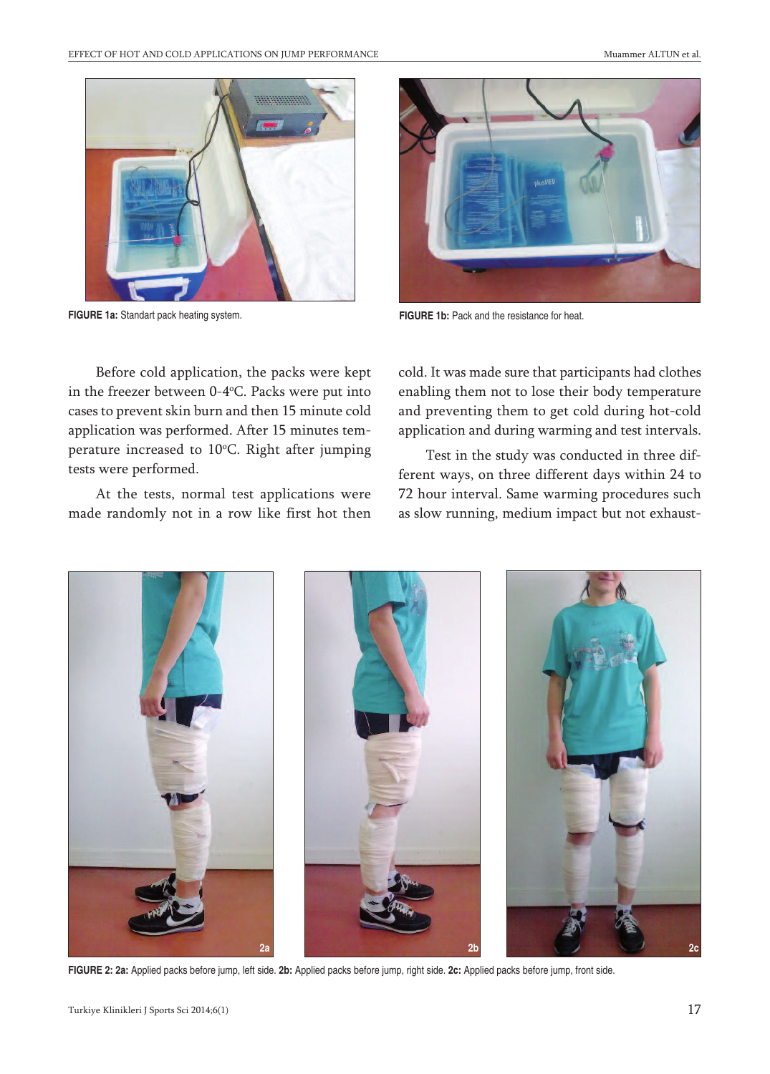

**FIGURE 1a:** Standart pack heating system. **FIGURE 1b:** Pack and the resistance for heat.



Before cold application, the packs were kept in the freezer between 0-4°C. Packs were put into cases to prevent skin burn and then 15 minute cold application was performed. After 15 minutes temperature increased to 10°C. Right after jumping tests were performed.

At the tests, normal test applications were made randomly not in a row like first hot then cold. It was made sure that participants had clothes enabling them not to lose their body temperature and preventing them to get cold during hot-cold application and during warming and test intervals.

Test in the study was conducted in three different ways, on three different days within 24 to 72 hour interval. Same warming procedures such as slow running, medium impact but not exhaust-



**FIGURE 2: 2a:** Applied packs before jump, left side. **2b:** Applied packs before jump, right side. **2c:** Applied packs before jump, front side.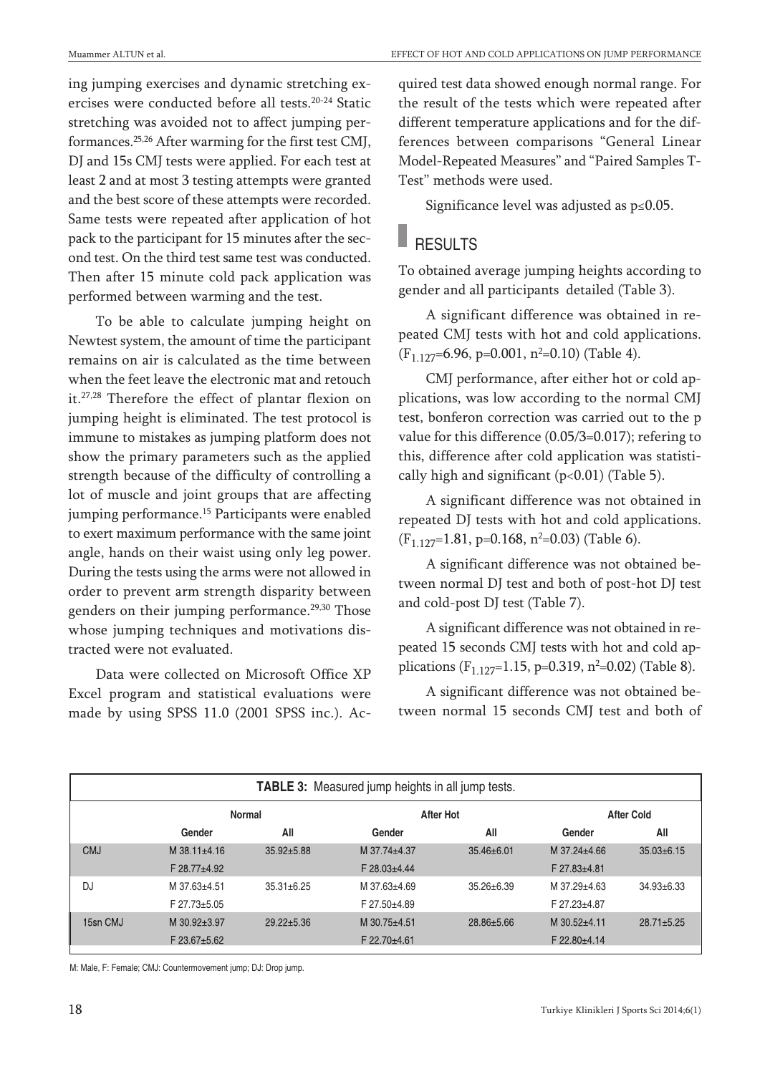ing jumping exercises and dynamic stretching exercises were conducted before all tests. 20-24 Static stretching was avoided not to affect jumping performances. 25,26 After warming for the first test CMJ, DJ and 15s CMJ tests were applied. For each test at least 2 and at most 3 testing attempts were granted and the best score of these attempts were recorded. Same tests were repeated after application of hot pack to the participant for 15 minutes after the second test. On the third test same test was conducted. Then after 15 minute cold pack application was performed between warming and the test.

To be able to calculate jumping height on Newtest system, the amount of time the participant remains on air is calculated as the time between when the feet leave the electronic mat and retouch it. 27,28 Therefore the effect of plantar flexion on jumping height is eliminated. The test protocol is immune to mistakes as jumping platform does not show the primary parameters such as the applied strength because of the difficulty of controlling a lot of muscle and joint groups that are affecting jumping performance. <sup>15</sup> Participants were enabled to exert maximum performance with the same joint angle, hands on their waist using only leg power. During the tests using the arms were not allowed in order to prevent arm strength disparity between genders on their jumping performance. 29,30 Those whose jumping techniques and motivations distracted were not evaluated.

Data were collected on Microsoft Office XP Excel program and statistical evaluations were made by using SPSS 11.0 (2001 SPSS inc.). Acquired test data showed enough normal range. For the result of the tests which were repeated after different temperature applications and for the differences between comparisons "General Linear Model-Repeated Measures" and "Paired Samples T-Test" methods were used.

Significance level was adjusted as p≤0.05.

#### **RESULTS**

To obtained average jumping heights according to gender and all participants detailed (Table 3).

A significant difference was obtained in repeated CMJ tests with hot and cold applications.  $(F_{1.127}=6.96, p=0.001, n^2=0.10)$  (Table 4).

CMJ performance, after either hot or cold applications, was low according to the normal CMJ test, bonferon correction was carried out to the p value for this difference (0.05/3=0.017); refering to this, difference after cold application was statistically high and significant  $(p<0.01)$  (Table 5).

A significant difference was not obtained in repeated DJ tests with hot and cold applications.  $(F_{1.127}=1.81, p=0.168, n^2=0.03)$  (Table 6).

A significant difference was not obtained between normal DJ test and both of post-hot DJ test and cold-post DJ test (Table 7).

A significant difference was not obtained in repeated 15 seconds CMJ tests with hot and cold applications ( $F_{1.127}$ =1.15, p=0.319, n<sup>2</sup>=0.02) (Table 8).

A significant difference was not obtained between normal 15 seconds CMJ test and both of

| TABLE 3: Measured jump heights in all jump tests. |                      |                  |              |                  |                      |                  |  |
|---------------------------------------------------|----------------------|------------------|--------------|------------------|----------------------|------------------|--|
| Normal<br><b>After Hot</b><br><b>After Cold</b>   |                      |                  |              |                  |                      |                  |  |
|                                                   | Gender               | All              | Gender       | All              | Gender               | All              |  |
| <b>CMJ</b>                                        | M 38.11+4.16         | $35.92 \pm 5.88$ | M 37.74±4.37 | $35.46 \pm 6.01$ | M 37.24+4.66         | $35.03 \pm 6.15$ |  |
|                                                   | F 28.77±4.92         |                  | F 28.03±4.44 |                  | F 27.83±4.81         |                  |  |
| DJ                                                | M 37.63±4.51         | $35.31 \pm 6.25$ | M 37.63±4.69 | $35.26 \pm 6.39$ | M 37.29±4.63         | $34.93 \pm 6.33$ |  |
|                                                   | $F$ 27.73 $\pm$ 5.05 |                  | F 27.50±4.89 |                  | F 27.23±4.87         |                  |  |
| 15sn CMJ                                          | M 30.92±3.97         | $29.22 \pm 5.36$ | M 30.75±4.51 | 28.86±5.66       | M 30.52+4.11         | $28.71 \pm 5.25$ |  |
|                                                   | $F$ 23.67 $\pm$ 5.62 |                  | F 22.70±4.61 |                  | $F$ 22.80 $\pm$ 4.14 |                  |  |

M: Male, F: Female; CMJ: Countermovement jump; DJ: Drop jump.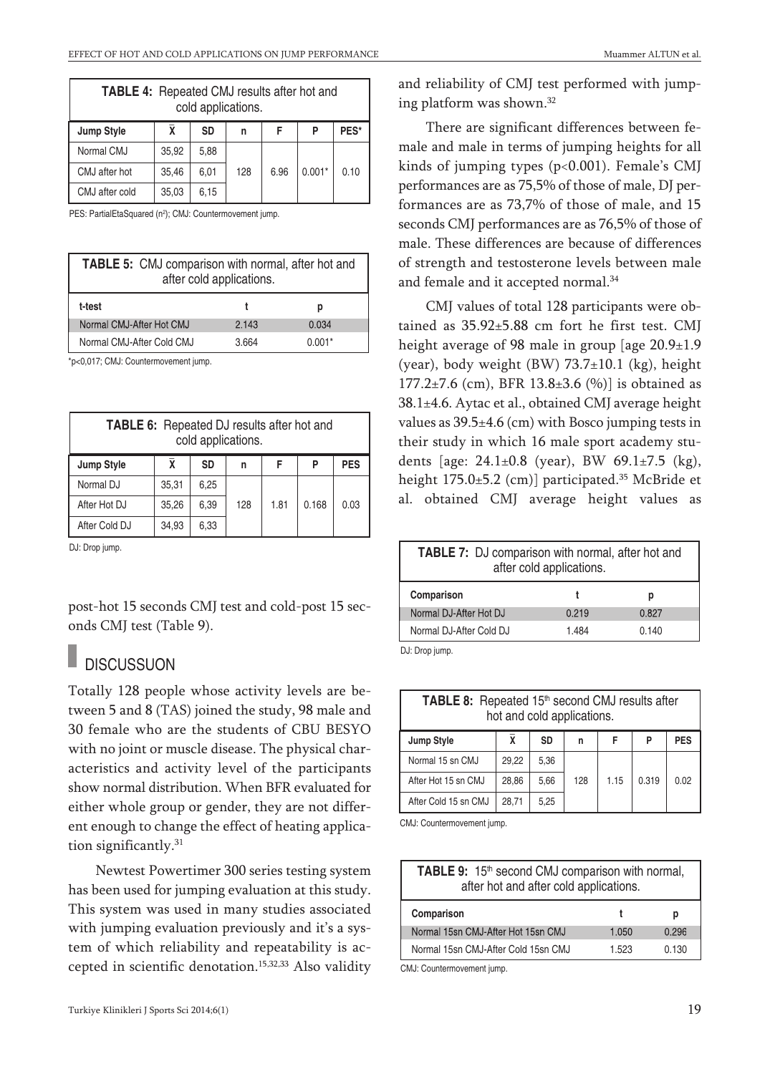| <b>TABLE 4:</b> Repeated CMJ results after hot and<br>cold applications. |       |      |     |      |          |      |  |
|--------------------------------------------------------------------------|-------|------|-----|------|----------|------|--|
| Jump Style                                                               | X     | SD   | n   | F    | P        | PES* |  |
| Normal CMJ                                                               | 35.92 | 5.88 |     |      |          |      |  |
| CMJ after hot                                                            | 35.46 | 6,01 | 128 | 6.96 | $0.001*$ | 0.10 |  |
| CMJ after cold                                                           | 35,03 | 6,15 |     |      |          |      |  |

PES: PartialEtaSquared (n<sup>2</sup>); CMJ: Countermovement jump.

| <b>TABLE 5:</b> CMJ comparison with normal, after hot and<br>after cold applications. |       |          |  |  |  |  |  |
|---------------------------------------------------------------------------------------|-------|----------|--|--|--|--|--|
| t-test                                                                                |       | р        |  |  |  |  |  |
| Normal CMJ-After Hot CMJ                                                              | 2.143 | 0.034    |  |  |  |  |  |
| Normal CMJ-After Cold CMJ                                                             | 3.664 | $0.001*$ |  |  |  |  |  |

\*p<0,017; CMJ: Countermovement jump.

| <b>TABLE 6:</b> Repeated DJ results after hot and<br>cold applications. |       |           |     |      |       |            |  |
|-------------------------------------------------------------------------|-------|-----------|-----|------|-------|------------|--|
| <b>Jump Style</b>                                                       | χ     | <b>SD</b> | n   | F    | P     | <b>PES</b> |  |
| Normal DJ                                                               | 35,31 | 6.25      |     |      |       |            |  |
| After Hot DJ                                                            | 35,26 | 6,39      | 128 | 1.81 | 0.168 | 0.03       |  |
| After Cold DJ                                                           | 34,93 | 6,33      |     |      |       |            |  |

DJ: Drop jump.

post-hot 15 seconds CMJ test and cold-post 15 seconds CMJ test (Table 9).

### **DISCUSSUON**

Totally 128 people whose activity levels are between 5 and 8 (TAS) joined the study, 98 male and 30 female who are the students of CBU BESYO with no joint or muscle disease. The physical characteristics and activity level of the participants show normal distribution. When BFR evaluated for either whole group or gender, they are not different enough to change the effect of heating application significantly. 31

Newtest Powertimer 300 series testing system has been used for jumping evaluation at this study. This system was used in many studies associated with jumping evaluation previously and it's a system of which reliability and repeatability is accepted in scientific denotation. 15,32,33 Also validity

and reliability of CMJ test performed with jumping platform was shown. 32

There are significant differences between female and male in terms of jumping heights for all kinds of jumping types (p<0.001). Female's CMJ performances are as 75,5% of those of male, DJ performances are as 73,7% of those of male, and 15 seconds CMJ performances are as 76,5% of those of male. These differences are because of differences of strength and testosterone levels between male and female and it accepted normal. 34

CMJ values of total 128 participants were obtained as 35.92±5.88 cm fort he first test. CMJ height average of 98 male in group [age 20.9±1.9 (year), body weight (BW) 73.7±10.1 (kg), height 177.2 $\pm$ 7.6 (cm), BFR 13.8 $\pm$ 3.6 (%)] is obtained as 38.1±4.6. Aytac et al., obtained CMJ average height values as  $39.5\pm4.6$  (cm) with Bosco jumping tests in their study in which 16 male sport academy students [age: 24.1±0.8 (year), BW 69.1±7.5 (kg), height 175.0±5.2 (cm)] participated. <sup>35</sup> McBride et al. obtained CMJ average height values as

| TABLE 7: DJ comparison with normal, after hot and<br>after cold applications. |       |       |  |  |  |  |  |
|-------------------------------------------------------------------------------|-------|-------|--|--|--|--|--|
| Comparison<br>р                                                               |       |       |  |  |  |  |  |
| Normal DJ-After Hot DJ                                                        | 0.219 | 0.827 |  |  |  |  |  |
| Normal DJ-After Cold DJ<br>1.484<br>0.140                                     |       |       |  |  |  |  |  |

DJ: Drop jump.

| TABLE 8: Repeated 15th second CMJ results after<br>hot and cold applications. |       |      |     |      |       |      |  |
|-------------------------------------------------------------------------------|-------|------|-----|------|-------|------|--|
| <b>SD</b><br>Jump Style<br>x<br><b>PES</b><br>P<br>F<br>n                     |       |      |     |      |       |      |  |
| Normal 15 sn CMJ                                                              | 29.22 | 5,36 |     |      |       |      |  |
| After Hot 15 sn CMJ                                                           | 28.86 | 5,66 | 128 | 1.15 | 0.319 | 0.02 |  |
| After Cold 15 sn CMJ                                                          | 28.71 | 5.25 |     |      |       |      |  |

CMJ: Countermovement jump.

| TABLE 9: 15 <sup>th</sup> second CMJ comparison with normal,<br>after hot and after cold applications. |       |       |  |  |  |  |  |
|--------------------------------------------------------------------------------------------------------|-------|-------|--|--|--|--|--|
| Comparison<br>р                                                                                        |       |       |  |  |  |  |  |
| Normal 15sn CMJ-After Hot 15sn CMJ                                                                     | 1.050 | 0.296 |  |  |  |  |  |
| Normal 15sn CMJ-After Cold 15sn CMJ<br>0.130<br>1.523                                                  |       |       |  |  |  |  |  |

CMJ: Countermovement jump.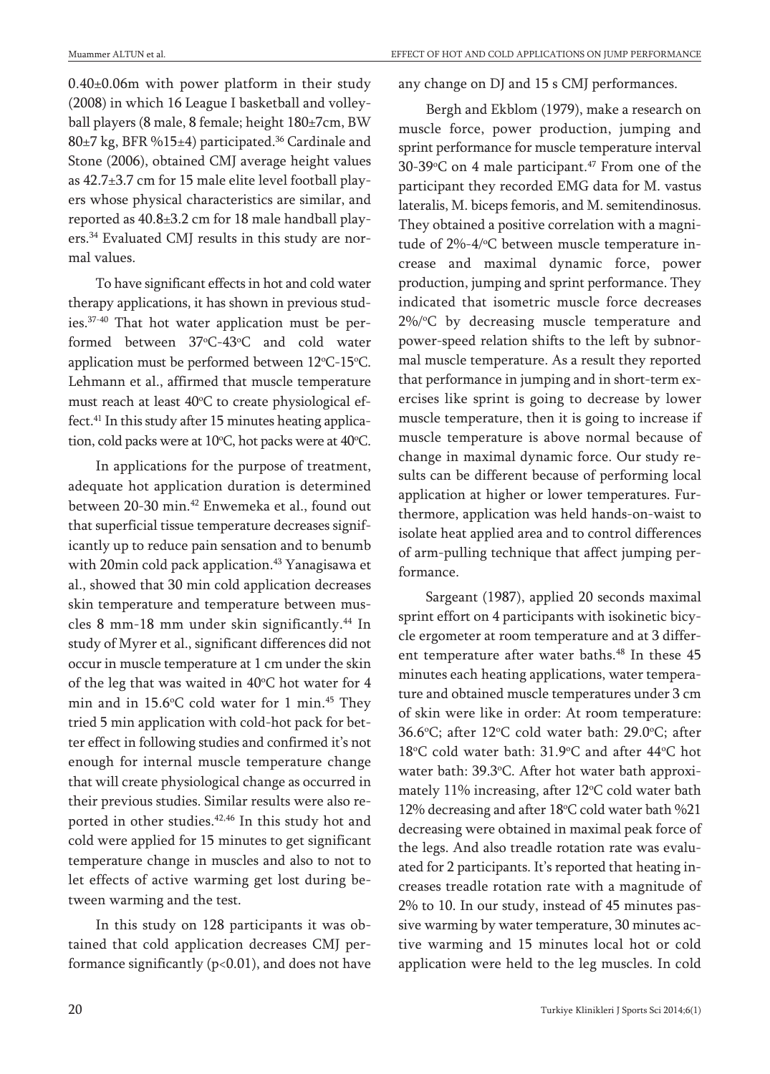0.40±0.06m with power platform in their study (2008) in which 16 League I basketball and volleyball players (8 male, 8 female; height 180±7cm, BW 80±7 kg, BFR %15±4) participated. <sup>36</sup> Cardinale and Stone (2006), obtained CMJ average height values as 42.7±3.7 cm for 15 male elite level football players whose physical characteristics are similar, and reported as 40.8±3.2 cm for 18 male handball players.<sup>34</sup> Evaluated CMJ results in this study are normal values.

To have significant effects in hot and cold water therapy applications, it has shown in previous studies. 37-40 That hot water application must be performed between 37°C-43°C and cold water application must be performed between  $12^{\circ}$ C-15 $^{\circ}$ C. Lehmann et al., affirmed that muscle temperature must reach at least 40°C to create physiological effect. <sup>41</sup> In this study after 15 minutes heating application, cold packs were at  $10^{\circ}$ C, hot packs were at  $40^{\circ}$ C.

In applications for the purpose of treatment, adequate hot application duration is determined between 20-30 min. <sup>42</sup> Enwemeka et al., found out that superficial tissue temperature decreases significantly up to reduce pain sensation and to benumb with 20min cold pack application. <sup>43</sup> Yanagisawa et al., showed that 30 min cold application decreases skin temperature and temperature between muscles 8 mm-18 mm under skin significantly. <sup>44</sup> In study of Myrer et al., significant differences did not occur in muscle temperature at 1 cm under the skin of the leg that was waited in  $40^{\circ}$ C hot water for  $4$ min and in 15.6°C cold water for 1 min.<sup>45</sup> They tried 5 min application with cold-hot pack for better effect in following studies and confirmed it's not enough for internal muscle temperature change that will create physiological change as occurred in their previous studies. Similar results were also reported in other studies. 42,46 In this study hot and cold were applied for 15 minutes to get significant temperature change in muscles and also to not to let effects of active warming get lost during between warming and the test.

In this study on 128 participants it was obtained that cold application decreases CMJ performance significantly  $(p<0.01)$ , and does not have

#### any change on DJ and 15 s CMJ performances.

Bergh and Ekblom (1979), make a research on muscle force, power production, jumping and sprint performance for muscle temperature interval 30-39 $\degree$ C on 4 male participant.<sup>47</sup> From one of the participant they recorded EMG data for M. vastus lateralis, M. biceps femoris, and M. semitendinosus. They obtained a positive correlation with a magnitude of 2%-4/°C between muscle temperature increase and maximal dynamic force, power production, jumping and sprint performance. They indicated that isometric muscle force decreases 2%/°C by decreasing muscle temperature and power-speed relation shifts to the left by subnormal muscle temperature. As a result they reported that performance in jumping and in short-term exercises like sprint is going to decrease by lower muscle temperature, then it is going to increase if muscle temperature is above normal because of change in maximal dynamic force. Our study results can be different because of performing local application at higher or lower temperatures. Furthermore, application was held hands-on-waist to isolate heat applied area and to control differences of arm-pulling technique that affect jumping performance.

Sargeant (1987), applied 20 seconds maximal sprint effort on 4 participants with isokinetic bicycle ergometer at room temperature and at 3 different temperature after water baths. <sup>48</sup> In these 45 minutes each heating applications, water temperature and obtained muscle temperatures under 3 cm of skin were like in order: At room temperature: 36.6°C; after 12°C cold water bath: 29.0°C; after 18°C cold water bath: 31.9°C and after 44°C hot water bath: 39.3°C. After hot water bath approximately 11% increasing, after 12°C cold water bath 12% decreasing and after 18°C cold water bath %21 decreasing were obtained in maximal peak force of the legs. And also treadle rotation rate was evaluated for 2 participants. It's reported that heating increases treadle rotation rate with a magnitude of 2% to 10. In our study, instead of 45 minutes passive warming by water temperature, 30 minutes active warming and 15 minutes local hot or cold application were held to the leg muscles. In cold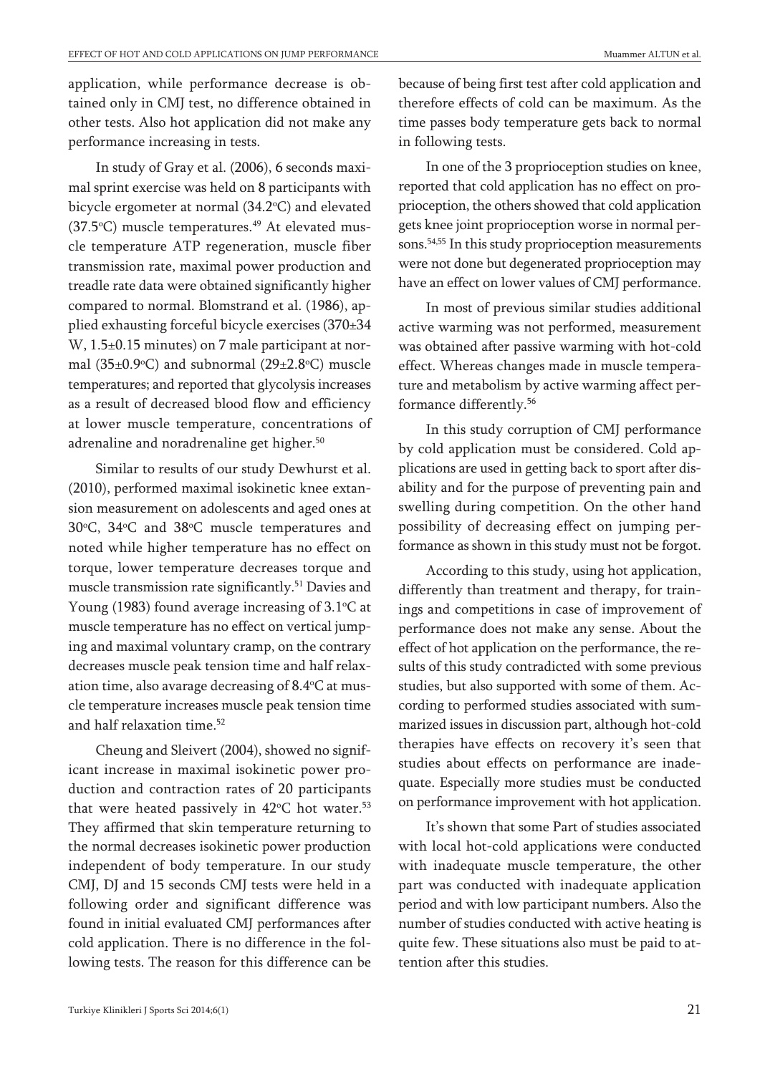application, while performance decrease is obtained only in CMJ test, no difference obtained in other tests. Also hot application did not make any performance increasing in tests.

In study of Gray et al. (2006), 6 seconds maximal sprint exercise was held on 8 participants with bicycle ergometer at normal (34.2°C) and elevated (37.5°C) muscle temperatures.<sup>49</sup> At elevated muscle temperature ATP regeneration, muscle fiber transmission rate, maximal power production and treadle rate data were obtained significantly higher compared to normal. Blomstrand et al. (1986), applied exhausting forceful bicycle exercises (370±34 W, 1.5±0.15 minutes) on 7 male participant at normal (35±0.9°C) and subnormal (29±2.8°C) muscle temperatures; and reported that glycolysis increases as a result of decreased blood flow and efficiency at lower muscle temperature, concentrations of adrenaline and noradrenaline get higher. 50

Similar to results of our study Dewhurst et al. (2010), performed maximal isokinetic knee extansion measurement on adolescents and aged ones at 30°C, 34°C and 38°C muscle temperatures and noted while higher temperature has no effect on torque, lower temperature decreases torque and muscle transmission rate significantly. <sup>51</sup> Davies and Young (1983) found average increasing of  $3.1^{\circ}$ C at muscle temperature has no effect on vertical jumping and maximal voluntary cramp, on the contrary decreases muscle peak tension time and half relaxation time, also avarage decreasing of  $8.4^{\circ}$ C at muscle temperature increases muscle peak tension time and half relaxation time. 52

Cheung and Sleivert (2004), showed no significant increase in maximal isokinetic power production and contraction rates of 20 participants that were heated passively in  $42^{\circ}$ C hot water.<sup>53</sup> They affirmed that skin temperature returning to the normal decreases isokinetic power production independent of body temperature. In our study CMJ, DJ and 15 seconds CMJ tests were held in a following order and significant difference was found in initial evaluated CMJ performances after cold application. There is no difference in the following tests. The reason for this difference can be because of being first test after cold application and therefore effects of cold can be maximum. As the time passes body temperature gets back to normal in following tests.

In one of the 3 proprioception studies on knee, reported that cold application has no effect on proprioception, the others showed that cold application gets knee joint proprioception worse in normal persons. 54,55 In this study proprioception measurements were not done but degenerated proprioception may have an effect on lower values of CMJ performance.

In most of previous similar studies additional active warming was not performed, measurement was obtained after passive warming with hot-cold effect. Whereas changes made in muscle temperature and metabolism by active warming affect performance differently. 56

In this study corruption of CMJ performance by cold application must be considered. Cold applications are used in getting back to sport after disability and for the purpose of preventing pain and swelling during competition. On the other hand possibility of decreasing effect on jumping performance as shown in this study must not be forgot.

According to this study, using hot application, differently than treatment and therapy, for trainings and competitions in case of improvement of performance does not make any sense. About the effect of hot application on the performance, the results of this study contradicted with some previous studies, but also supported with some of them. According to performed studies associated with summarized issues in discussion part, although hot-cold therapies have effects on recovery it's seen that studies about effects on performance are inadequate. Especially more studies must be conducted on performance improvement with hot application.

It's shown that some Part of studies associated with local hot-cold applications were conducted with inadequate muscle temperature, the other part was conducted with inadequate application period and with low participant numbers. Also the number of studies conducted with active heating is quite few. These situations also must be paid to attention after this studies.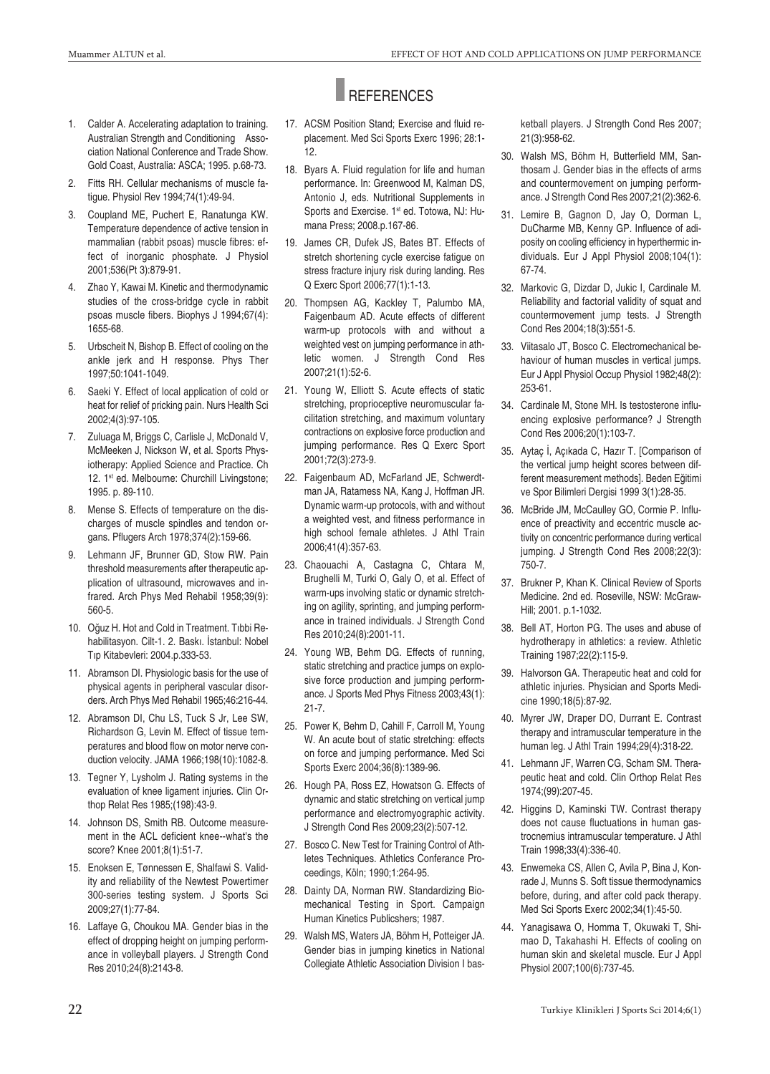# **REFERENCES**

- 1. Calder A. Accelerating adaptation to training. Australian Strength and Conditioning Association National Conference and Trade Show. Gold Coast, Australia: ASCA; 1995. p.68-73.
- 2. Fitts RH. Cellular mechanisms of muscle fatigue. Physiol Rev 1994;74(1):49-94.
- 3. Coupland ME, Puchert E, Ranatunga KW. Temperature dependence of active tension in mammalian (rabbit psoas) muscle fibres: effect of inorganic phosphate. J Physiol 2001;536(Pt 3):879-91.
- 4. Zhao Y, Kawai M. Kinetic and thermodynamic studies of the cross-bridge cycle in rabbit psoas muscle fibers. Biophys J 1994;67(4): 1655-68.
- 5. Urbscheit N, Bishop B. Effect of cooling on the ankle jerk and H response. Phys Ther 1997;50:1041-1049.
- 6. Saeki Y. Effect of local application of cold or heat for relief of pricking pain. Nurs Health Sci 2002;4(3):97-105.
- 7. Zuluaga M, Briggs C, Carlisle J, McDonald V, McMeeken J, Nickson W, et al. Sports Physiotherapy: Applied Science and Practice. Ch 12. 1<sup>st</sup> ed. Melbourne: Churchill Livingstone; 1995. p. 89-110.
- 8. Mense S. Effects of temperature on the discharges of muscle spindles and tendon organs. Pflugers Arch 1978;374(2):159-66.
- 9. Lehmann JF, Brunner GD, Stow RW. Pain threshold measurements after therapeutic application of ultrasound, microwaves and infrared. Arch Phys Med Rehabil 1958;39(9): 560-5.
- 10. Oğuz H. Hot and Cold in Treatment. Tıbbi Rehabilitasyon. Cilt-1. 2. Baskı. İstanbul: Nobel Tıp Kitabevleri: 2004.p.333-53.
- 11. Abramson DI. Physiologic basis for the use of physical agents in peripheral vascular disorders. Arch Phys Med Rehabil 1965;46:216-44.
- 12. Abramson DI, Chu LS, Tuck S Jr, Lee SW, Richardson G, Levin M. Effect of tissue temperatures and blood flow on motor nerve conduction velocity. JAMA 1966;198(10):1082-8.
- 13. Tegner Y, Lysholm J. Rating systems in the evaluation of knee ligament injuries. Clin Orthop Relat Res 1985;(198):43-9.
- 14. Johnson DS, Smith RB. Outcome measurement in the ACL deficient knee--what's the score? Knee 2001;8(1):51-7.
- 15. Enoksen E, Tønnessen E, Shalfawi S. Validity and reliability of the Newtest Powertimer 300-series testing system. J Sports Sci 2009;27(1):77-84.
- 16. Laffaye G, Choukou MA. Gender bias in the effect of dropping height on jumping performance in volleyball players. J Strength Cond Res 2010;24(8):2143-8.
- 17. ACSM Position Stand; Exercise and fluid replacement. Med Sci Sports Exerc 1996; 28:1- 12.
- 18. Byars A. Fluid regulation for life and human performance. In: Greenwood M, Kalman DS, Antonio J, eds. Nutritional Supplements in Sports and Exercise. 1<sup>st</sup> ed. Totowa, NJ: Humana Press; 2008.p.167-86.
- 19. James CR, Dufek JS, Bates BT. Effects of stretch shortening cycle exercise fatigue on stress fracture injury risk during landing. Res Q Exerc Sport 2006;77(1):1-13.
- 20. Thompsen AG, Kackley T, Palumbo MA, Faigenbaum AD. Acute effects of different warm-up protocols with and without a weighted vest on jumping performance in athletic women. J Strength Cond Res 2007;21(1):52-6.
- 21. Young W, Elliott S. Acute effects of static stretching, proprioceptive neuromuscular facilitation stretching, and maximum voluntary contractions on explosive force production and jumping performance. Res Q Exerc Sport 2001;72(3):273-9.
- 22. Faigenbaum AD, McFarland JE, Schwerdtman JA, Ratamess NA, Kang J, Hoffman JR. Dynamic warm-up protocols, with and without a weighted vest, and fitness performance in high school female athletes. J Athl Train 2006;41(4):357-63.
- 23. Chaouachi A, Castagna C, Chtara M, Brughelli M, Turki O, Galy O, et al. Effect of warm-ups involving static or dynamic stretching on agility, sprinting, and jumping performance in trained individuals. J Strength Cond Res 2010;24(8):2001-11.
- 24. Young WB, Behm DG. Effects of running, static stretching and practice jumps on explosive force production and jumping performance. J Sports Med Phys Fitness 2003;43(1): 21-7.
- 25. Power K, Behm D, Cahill F, Carroll M, Young W. An acute bout of static stretching: effects on force and jumping performance. Med Sci Sports Exerc 2004;36(8):1389-96.
- 26. Hough PA, Ross EZ, Howatson G. Effects of dynamic and static stretching on vertical jump performance and electromyographic activity. J Strength Cond Res 2009;23(2):507-12.
- 27. Bosco C. New Test for Training Control of Athletes Techniques. Athletics Conferance Proceedings, Köln; 1990;1:264-95.
- 28. Dainty DA, Norman RW. Standardizing Biomechanical Testing in Sport. Campaign Human Kinetics Publicshers; 1987.
- 29. Walsh MS, Waters JA, Böhm H, Potteiger JA. Gender bias in jumping kinetics in National Collegiate Athletic Association Division I bas-

ketball players. J Strength Cond Res 2007; 21(3):958-62.

- 30. Walsh MS, Böhm H, Butterfield MM, Santhosam J. Gender bias in the effects of arms and countermovement on jumping performance. J Strength Cond Res 2007;21(2):362-6.
- 31. Lemire B, Gagnon D, Jay O, Dorman L, DuCharme MB, Kenny GP. Influence of adiposity on cooling efficiency in hyperthermic individuals. Eur J Appl Physiol 2008;104(1): 67-74.
- 32. Markovic G, Dizdar D, Jukic I, Cardinale M. Reliability and factorial validity of squat and countermovement jump tests. J Strength Cond Res 2004;18(3):551-5.
- 33. Viitasalo JT, Bosco C. Electromechanical behaviour of human muscles in vertical jumps. Eur J Appl Physiol Occup Physiol 1982;48(2): 253-61.
- 34. Cardinale M, Stone MH. Is testosterone influencing explosive performance? J Strength Cond Res 2006;20(1):103-7.
- 35. Aytaç İ, Açıkada C, Hazır T. [Comparison of the vertical jump height scores between different measurement methods]. Beden Eğitimi ve Spor Bilimleri Dergisi 1999 3(1):28-35.
- 36. McBride JM, McCaulley GO, Cormie P. Influence of preactivity and eccentric muscle activity on concentric performance during vertical jumping. J Strength Cond Res 2008;22(3): 750-7.
- 37. Brukner P, Khan K. Clinical Review of Sports Medicine. 2nd ed. Roseville, NSW: McGraw-Hill; 2001. p.1-1032.
- 38. Bell AT, Horton PG. The uses and abuse of hydrotherapy in athletics: a review. Athletic Training 1987;22(2):115-9.
- 39. Halvorson GA. Therapeutic heat and cold for athletic injuries. Physician and Sports Medicine 1990;18(5):87-92.
- 40. Myrer JW, Draper DO, Durrant E. Contrast therapy and intramuscular temperature in the human leg. J Athl Train 1994;29(4):318-22.
- 41. Lehmann JF, Warren CG, Scham SM. Therapeutic heat and cold. Clin Orthop Relat Res 1974;(99):207-45.
- 42. Higgins D, Kaminski TW. Contrast therapy does not cause fluctuations in human gastrocnemius intramuscular temperature. J Athl Train 1998;33(4):336-40.
- 43. Enwemeka CS, Allen C, Avila P, Bina J, Konrade J, Munns S. Soft tissue thermodynamics before, during, and after cold pack therapy. Med Sci Sports Exerc 2002;34(1):45-50.
- 44. Yanagisawa O, Homma T, Okuwaki T, Shimao D, Takahashi H. Effects of cooling on human skin and skeletal muscle. Eur J Appl Physiol 2007;100(6):737-45.